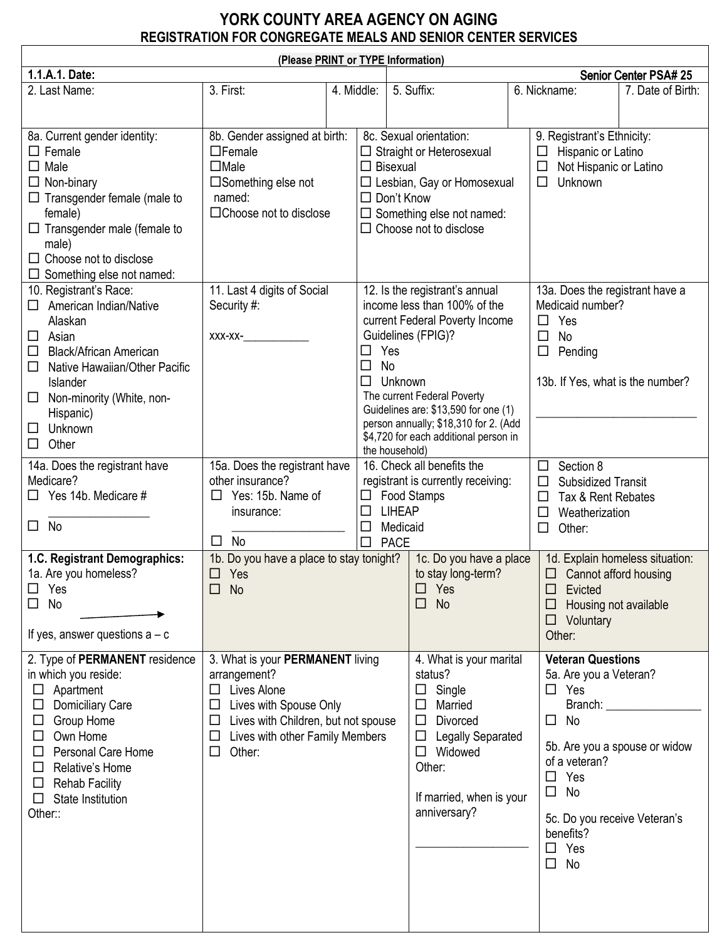## **YORK COUNTY AREA AGENCY ON AGING REGISTRATION FOR CONGREGATE MEALS AND SENIOR CENTER SERVICES**

| (Please PRINT or TYPE Information)                                                                                                                                                                                                                                                        |                                                                                                                                                                                                                            |            |                                                                        |                                                                                                                                                                                                                                                                                                               |  |                                                                                                                                                                                                                                                                         |                   |  |  |  |  |
|-------------------------------------------------------------------------------------------------------------------------------------------------------------------------------------------------------------------------------------------------------------------------------------------|----------------------------------------------------------------------------------------------------------------------------------------------------------------------------------------------------------------------------|------------|------------------------------------------------------------------------|---------------------------------------------------------------------------------------------------------------------------------------------------------------------------------------------------------------------------------------------------------------------------------------------------------------|--|-------------------------------------------------------------------------------------------------------------------------------------------------------------------------------------------------------------------------------------------------------------------------|-------------------|--|--|--|--|
| 1.1.A.1. Date:                                                                                                                                                                                                                                                                            |                                                                                                                                                                                                                            |            |                                                                        |                                                                                                                                                                                                                                                                                                               |  | Senior Center PSA# 25                                                                                                                                                                                                                                                   |                   |  |  |  |  |
| 2. Last Name:                                                                                                                                                                                                                                                                             | 3. First:                                                                                                                                                                                                                  | 4. Middle: |                                                                        | 5. Suffix:                                                                                                                                                                                                                                                                                                    |  | 6. Nickname:                                                                                                                                                                                                                                                            | 7. Date of Birth: |  |  |  |  |
| 8a. Current gender identity:<br>$\Box$ Female<br>$\Box$ Male<br>$\Box$ Non-binary<br>$\Box$ Transgender female (male to<br>female)<br>$\Box$ Transgender male (female to<br>male)<br>$\Box$ Choose not to disclose<br>$\Box$ Something else not named:                                    | 8b. Gender assigned at birth:<br>$\Box$ Female<br>$\Box$ Male<br>$\square$ Something else not<br>named:<br>□Choose not to disclose                                                                                         |            | $\Box$ Bisexual<br>$\Box$ Don't Know                                   | 8c. Sexual orientation:<br>$\Box$ Straight or Heterosexual<br>□ Lesbian, Gay or Homosexual<br>$\Box$ Something else not named:<br>$\Box$ Choose not to disclose                                                                                                                                               |  | 9. Registrant's Ethnicity:<br>Hispanic or Latino<br>$\Box$<br>Not Hispanic or Latino<br>$\Box$<br>Unknown<br>$\Box$                                                                                                                                                     |                   |  |  |  |  |
| 10. Registrant's Race:<br>American Indian/Native<br>Alaskan<br>Asian<br>□<br><b>Black/African American</b><br>□<br>Native Hawaiian/Other Pacific<br>$\Box$<br>Islander<br>Non-minority (White, non-<br>□<br>Hispanic)<br>Unknown<br>□<br>$\Box$<br>Other<br>14a. Does the registrant have | 11. Last 4 digits of Social<br>Security #:<br>XXX-XX-<br>15a. Does the registrant have                                                                                                                                     |            | Yes<br>No<br>$\Box$<br>Unknown<br>□<br>the household)                  | 12. Is the registrant's annual<br>income less than 100% of the<br>current Federal Poverty Income<br>Guidelines (FPIG)?<br>The current Federal Poverty<br>Guidelines are: \$13,590 for one (1)<br>person annually; \$18,310 for 2. (Add<br>\$4,720 for each additional person in<br>16. Check all benefits the |  | 13a. Does the registrant have a<br>Medicaid number?<br>Yes<br>□<br>$\Box$<br>No<br>$\Box$<br>Pending<br>13b. If Yes, what is the number?<br>Section 8<br>□<br>□<br><b>Subsidized Transit</b><br>$\Box$<br>Tax & Rent Rebates<br>Weatherization<br>□<br>Other:<br>$\Box$ |                   |  |  |  |  |
| Medicare?<br>$\Box$ Yes 14b. Medicare #<br>No<br>$\Box$                                                                                                                                                                                                                                   | other insurance?<br>Yes: 15b. Name of<br>$\Box$<br>insurance:<br><b>No</b><br>$\Box$                                                                                                                                       |            | $\Box$<br><b>LIHEAP</b><br>□<br>Medicaid<br>$\Box$<br><b>PACE</b><br>□ | registrant is currently receiving:<br>Food Stamps                                                                                                                                                                                                                                                             |  |                                                                                                                                                                                                                                                                         |                   |  |  |  |  |
| 1.C. Registrant Demographics:<br>1a. Are you homeless?<br>Yes<br>$\Box$<br>No<br>□<br>If yes, answer questions $a - c$                                                                                                                                                                    | 1b. Do you have a place to stay tonight?<br>$\Box$<br>Yes<br>No<br>□                                                                                                                                                       |            |                                                                        | 1c. Do you have a place<br>to stay long-term?<br>Yes<br>□<br><b>No</b>                                                                                                                                                                                                                                        |  | 1d. Explain homeless situation:<br>□<br>Cannot afford housing<br>Evicted<br>□<br>Housing not available<br>$\Box$ Voluntary<br>Other:                                                                                                                                    |                   |  |  |  |  |
| 2. Type of PERMANENT residence<br>in which you reside:<br>$\Box$ Apartment<br><b>Domiciliary Care</b><br>Group Home<br>Own Home<br>⊔<br>Personal Care Home<br>$\Box$<br>Relative's Home<br>$\Box$<br><b>Rehab Facility</b><br>⊔<br>State Institution<br>Other::                           | 3. What is your PERMANENT living<br>arrangement?<br>Lives Alone<br>$\Box$<br>Lives with Spouse Only<br>□<br>Lives with Children, but not spouse<br>$\Box$<br>Lives with other Family Members<br>$\Box$<br>Other:<br>$\Box$ |            |                                                                        | 4. What is your marital<br>status?<br>Single<br>$\Box$<br>Married<br><b>Divorced</b><br>$\Box$<br><b>Legally Separated</b><br>$\Box$<br>Widowed<br>$\Box$<br>Other:<br>If married, when is your<br>anniversary?                                                                                               |  | <b>Veteran Questions</b><br>5a. Are you a Veteran?<br>$\Box$ Yes<br>Branch:<br>No<br>$\Box$<br>5b. Are you a spouse or widow<br>of a veteran?<br>Yes<br>$\Box$<br>No<br>$\Box$<br>5c. Do you receive Veteran's<br>benefits?<br>Yes<br>$\Box$<br>$\Box$<br>No            |                   |  |  |  |  |